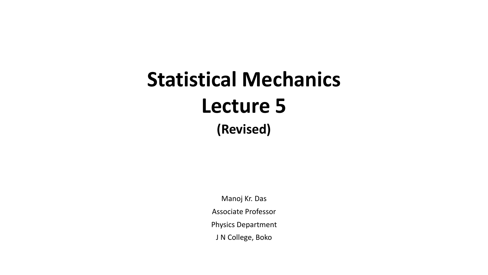## **Statistical Mechanics Lecture 5 (Revised)**

Manoj Kr. Das Associate Professor Physics Department J N College, Boko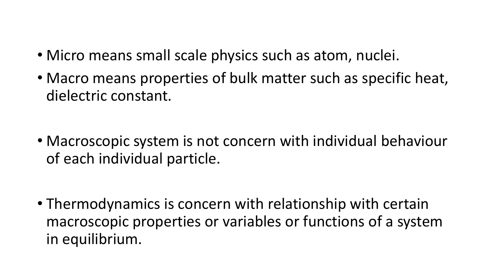- Micro means small scale physics such as atom, nuclei.
- Macro means properties of bulk matter such as specific heat, dielectric constant.

• Macroscopic system is not concern with individual behaviour of each individual particle.

• Thermodynamics is concern with relationship with certain macroscopic properties or variables or functions of a system in equilibrium.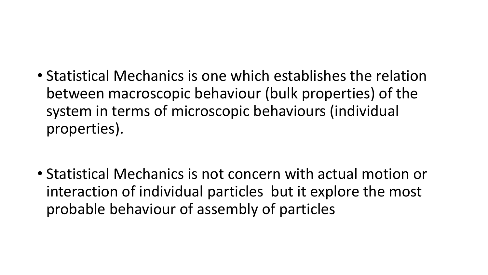• Statistical Mechanics is one which establishes the relation between macroscopic behaviour (bulk properties) of the system in terms of microscopic behaviours (individual properties).

• Statistical Mechanics is not concern with actual motion or interaction of individual particles but it explore the most probable behaviour of assembly of particles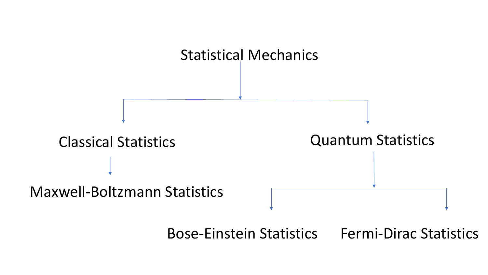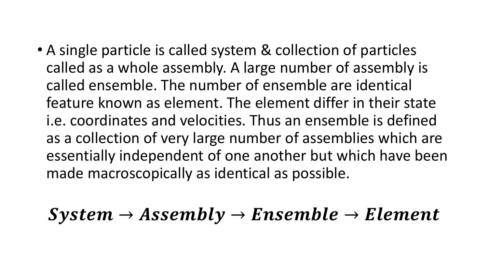• A single particle is called system & collection of particles called as a whole assembly. A large number of assembly is called ensemble. The number of ensemble are identical feature known as element. The element differ in their state i.e. coordinates and velocities. Thus an ensemble is defined as a collection of very large number of assemblies which are essentially independent of one another but which have been made macroscopically as identical as possible.

 $System \rightarrow Assembly \rightarrow Ensemble \rightarrow Element$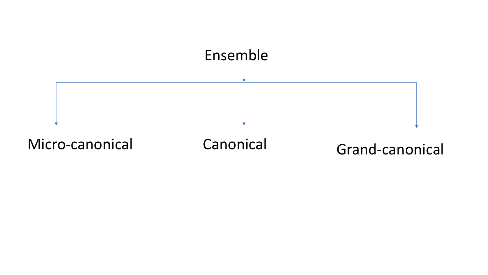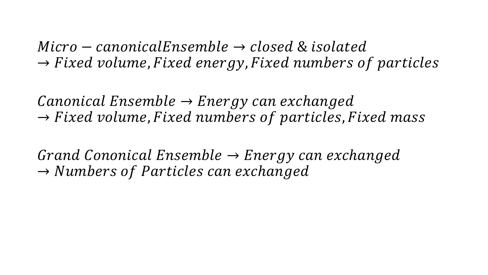$Micro-canonicalEnsemble \rightarrow closed$  & isolated  $\rightarrow Fixed$  volume, Fixed energy, Fixed numbers of particles

 $\mathcal{L}$ anonical Ensemble  $\rightarrow$  Energy can exchanged  $\rightarrow Fixed$  volume, Fixed numbers of particles, Fixed mass

Grand Cononical Ensemble  $\rightarrow$  Energy can exchanged  $\rightarrow$  Numbers of Particles can exchanged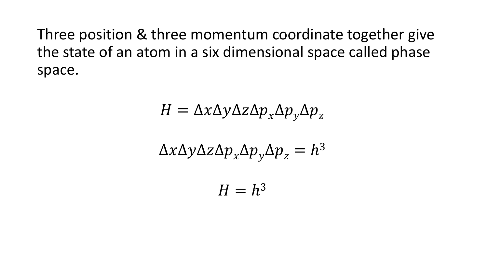Three position & three momentum coordinate together give the state of an atom in a six dimensional space called phase space.

$$
H = \Delta x \Delta y \Delta z \Delta p_x \Delta p_y \Delta p_z
$$

$$
\Delta x \Delta y \Delta z \Delta p_x \Delta p_y \Delta p_z = h^3
$$

$$
H=h^3
$$